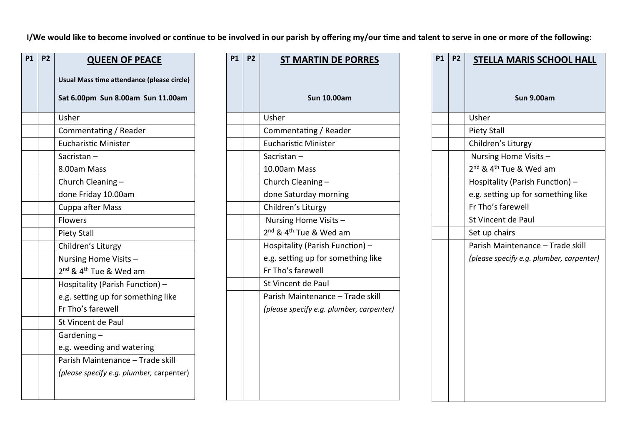**I/We would like to become involved or continue to be involved in our parish by offering my/our time and talent to serve in one or more of the following:**

| <b>P1</b> | P <sub>2</sub> | <b>QUEEN OF PEACE</b>                          |
|-----------|----------------|------------------------------------------------|
|           |                | Usual Mass time attendance (please circle)     |
|           |                | Sat 6.00pm Sun 8.00am Sun 11.00am              |
|           |                | Usher                                          |
|           |                | Commentating / Reader                          |
|           |                | <b>Eucharistic Minister</b>                    |
|           |                | Sacristan-                                     |
|           |                | 8.00am Mass                                    |
|           |                | Church Cleaning -                              |
|           |                | done Friday 10.00am                            |
|           |                | Cuppa after Mass                               |
|           |                | <b>Flowers</b>                                 |
|           |                | <b>Piety Stall</b>                             |
|           |                | Children's Liturgy                             |
|           |                | Nursing Home Visits -                          |
|           |                | 2 <sup>nd</sup> & 4 <sup>th</sup> Tue & Wed am |
|           |                | Hospitality (Parish Function) -                |
|           |                | e.g. setting up for something like             |
|           |                | Fr Tho's farewell                              |
|           |                | St Vincent de Paul                             |
|           |                | Gardening $-$                                  |
|           |                | e.g. weeding and watering                      |
|           |                | Parish Maintenance - Trade skill               |
|           |                | (please specify e.g. plumber, carpenter)       |
|           |                |                                                |
|           |                |                                                |

| <b>P1</b> | P <sub>2</sub> | <b>ST MARTIN DE PORRES</b>                     |
|-----------|----------------|------------------------------------------------|
|           |                | <b>Sun 10.00am</b>                             |
|           |                | Usher                                          |
|           |                | Commentating / Reader                          |
|           |                | <b>Eucharistic Minister</b>                    |
|           |                | Sacristan-                                     |
|           |                | 10.00am Mass                                   |
|           |                | Church Cleaning -                              |
|           |                | done Saturday morning                          |
|           |                | Children's Liturgy                             |
|           |                | Nursing Home Visits -                          |
|           |                | 2 <sup>nd</sup> & 4 <sup>th</sup> Tue & Wed am |
|           |                | Hospitality (Parish Function) -                |
|           |                | e.g. setting up for something like             |
|           |                | Fr Tho's farewell                              |
|           |                | St Vincent de Paul                             |
|           |                | Parish Maintenance - Trade skill               |
|           |                | (please specify e.g. plumber, carpenter)       |
|           |                |                                                |
|           |                |                                                |
|           |                |                                                |
|           |                |                                                |
|           |                |                                                |
|           |                |                                                |
|           |                |                                                |

| <b>P1</b> | <b>P2</b> | <b>STELLA MARIS SCHOOL HALL</b>                |
|-----------|-----------|------------------------------------------------|
|           |           | <b>Sun 9.00am</b>                              |
|           |           | Usher                                          |
|           |           | <b>Piety Stall</b>                             |
|           |           | Children's Liturgy                             |
|           |           | Nursing Home Visits -                          |
|           |           | 2 <sup>nd</sup> & 4 <sup>th</sup> Tue & Wed am |
|           |           | Hospitality (Parish Function) -                |
|           |           | e.g. setting up for something like             |
|           |           | Fr Tho's farewell                              |
|           |           | St Vincent de Paul                             |
|           |           | Set up chairs                                  |
|           |           | Parish Maintenance - Trade skill               |
|           |           | (please specify e.g. plumber, carpenter)       |
|           |           |                                                |
|           |           |                                                |
|           |           |                                                |
|           |           |                                                |
|           |           |                                                |
|           |           |                                                |
|           |           |                                                |
|           |           |                                                |
|           |           |                                                |
|           |           |                                                |
|           |           |                                                |